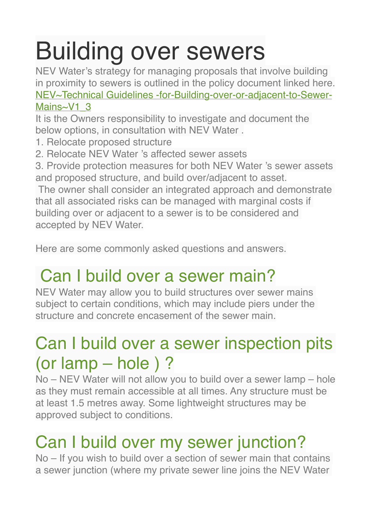# Building over sewers

NEV Water's strategy for managing proposals that involve building in proximity to sewers is outlined in the policy document linked here.

[NEV~Technical Guidelines -for-Building-over-or-adjacent-to-Sewer-](http://nararaecovillage.com/wp-content/uploads/2017/11/NEVTechnical-Guidelines-for-Building-over-or-adjacent-to-Sewer-MainsV1_3.pdf)[Mains~V1\\_3](http://nararaecovillage.com/wp-content/uploads/2017/11/NEVTechnical-Guidelines-for-Building-over-or-adjacent-to-Sewer-MainsV1_3.pdf)

It is the Owners responsibility to investigate and document the below options, in consultation with NEV Water .

- 1. Relocate proposed structure
- 2. Relocate NEV Water 's affected sewer assets

3. Provide protection measures for both NEV Water 's sewer assets and proposed structure, and build over/adjacent to asset.

The owner shall consider an integrated approach and demonstrate that all associated risks can be managed with marginal costs if building over or adjacent to a sewer is to be considered and accepted by NEV Water.

Here are some commonly asked questions and answers.

## Can I build over a sewer main?

NEV Water may allow you to build structures over sewer mains subject to certain conditions, which may include piers under the structure and concrete encasement of the sewer main.

### Can I build over a sewer inspection pits (or lamp – hole ) ?

No – NEV Water will not allow you to build over a sewer lamp – hole as they must remain accessible at all times. Any structure must be at least 1.5 metres away. Some lightweight structures may be approved subject to conditions.

## Can I build over my sewer junction?

No – If you wish to build over a section of sewer main that contains a sewer junction (where my private sewer line joins the NEV Water